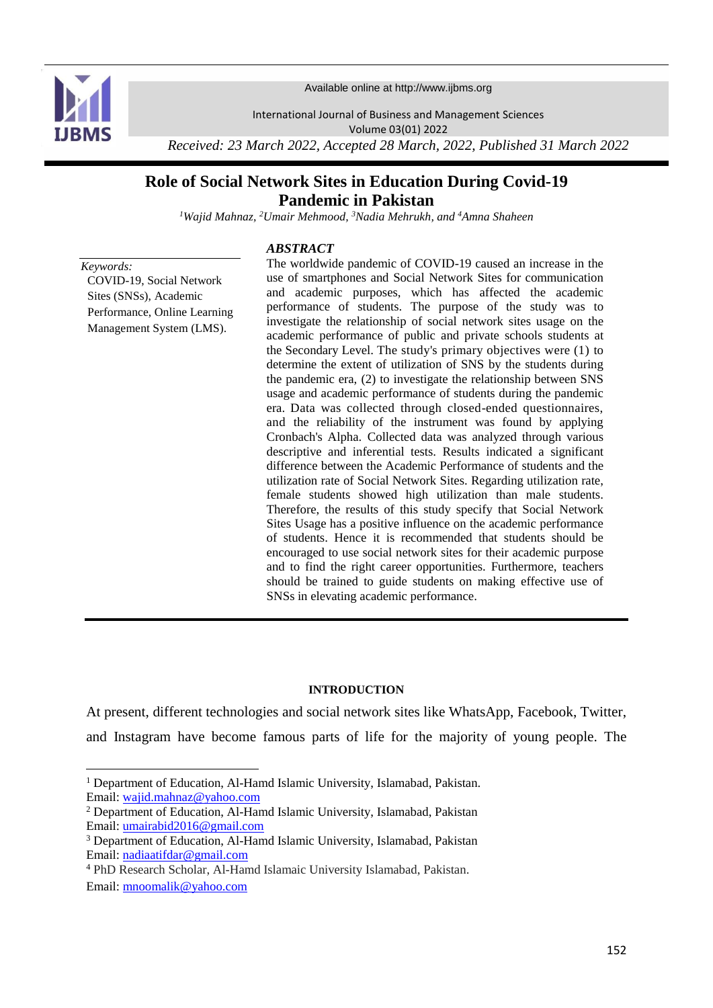

Available online at http://www.ijbms.org

International Journal of Business and Management Sciences

Volume 03(01) 2022

*Received: 23 March 2022, Accepted 28 March, 2022, Published 31 March 2022*

# **Role of Social Network Sites in Education During Covid-19 Pandemic in Pakistan**

*<sup>1</sup>Wajid Mahnaz, <sup>2</sup>Umair Mehmood, <sup>3</sup>Nadia Mehrukh, and <sup>4</sup>Amna Shaheen*

## *ABSTRACT*

*Keywords:*

1

COVID-19, Social Network Sites (SNSs), Academic Performance, Online Learning Management System (LMS).

The worldwide pandemic of COVID-19 caused an increase in the use of smartphones and Social Network Sites for communication and academic purposes, which has affected the academic performance of students. The purpose of the study was to investigate the relationship of social network sites usage on the academic performance of public and private schools students at the Secondary Level. The study's primary objectives were (1) to determine the extent of utilization of SNS by the students during the pandemic era, (2) to investigate the relationship between SNS usage and academic performance of students during the pandemic era. Data was collected through closed-ended questionnaires, and the reliability of the instrument was found by applying Cronbach's Alpha. Collected data was analyzed through various descriptive and inferential tests. Results indicated a significant difference between the Academic Performance of students and the utilization rate of Social Network Sites. Regarding utilization rate, female students showed high utilization than male students. Therefore, the results of this study specify that Social Network Sites Usage has a positive influence on the academic performance of students. Hence it is recommended that students should be encouraged to use social network sites for their academic purpose and to find the right career opportunities. Furthermore, teachers should be trained to guide students on making effective use of SNSs in elevating academic performance.

## **INTRODUCTION**

At present, different technologies and social network sites like WhatsApp, Facebook, Twitter, and Instagram have become famous parts of life for the majority of young people. The

<sup>&</sup>lt;sup>1</sup> Department of Education, Al-Hamd Islamic University, Islamabad, Pakistan. Email: [wajid.mahnaz@yahoo.com](mailto:wajid.mahnaz@yahoo.com)

<sup>2</sup> Department of Education, Al-Hamd Islamic University, Islamabad, Pakistan Email: [umairabid2016@gmail.com](mailto:umairabid2016@gmail.com)

<sup>3</sup> Department of Education, Al-Hamd Islamic University, Islamabad, Pakistan Email: [nadiaatifdar@gmail.com](mailto:nadiaatifdar@gmail.com)

<sup>4</sup> PhD Research Scholar, Al-Hamd Islamaic University Islamabad, Pakistan. Email: [mnoomalik@yahoo.com](mailto:mnoomalik@yahoo.com)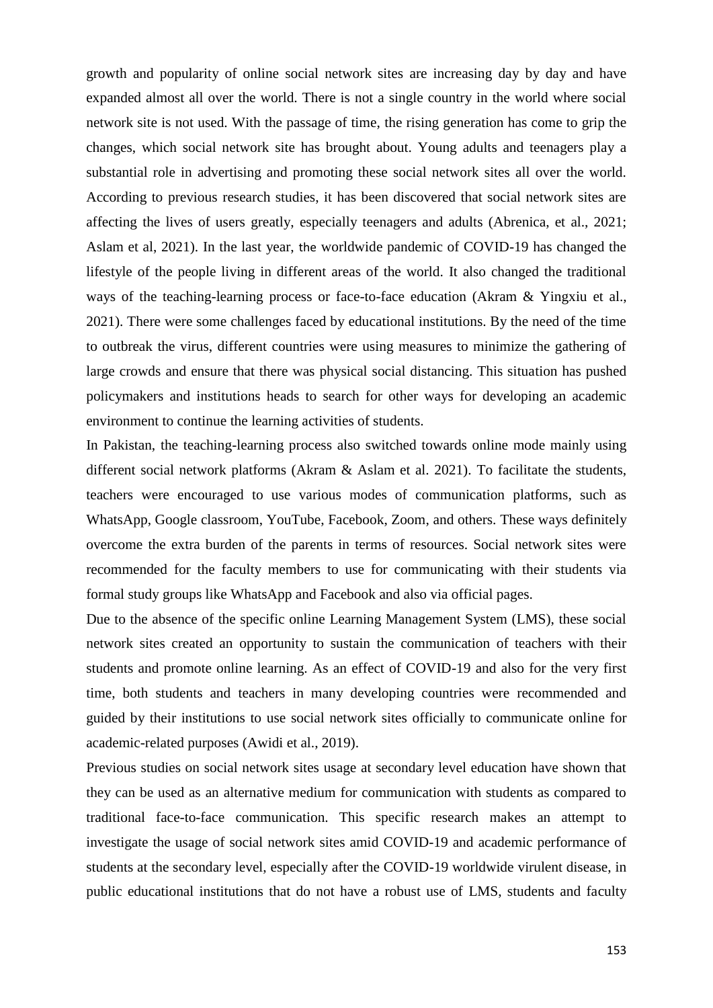growth and popularity of online social network sites are increasing day by day and have expanded almost all over the world. There is not a single country in the world where social network site is not used. With the passage of time, the rising generation has come to grip the changes, which social network site has brought about. Young adults and teenagers play a substantial role in advertising and promoting these social network sites all over the world. According to previous research studies, it has been discovered that social network sites are affecting the lives of users greatly, especially teenagers and adults (Abrenica, et al., 2021; Aslam et al, 2021). In the last year, the worldwide pandemic of COVID-19 has changed the lifestyle of the people living in different areas of the world. It also changed the traditional ways of the teaching-learning process or face-to-face education (Akram & Yingxiu et al., 2021). There were some challenges faced by educational institutions. By the need of the time to outbreak the virus, different countries were using measures to minimize the gathering of large crowds and ensure that there was physical social distancing. This situation has pushed policymakers and institutions heads to search for other ways for developing an academic environment to continue the learning activities of students.

In Pakistan, the teaching-learning process also switched towards online mode mainly using different social network platforms (Akram & Aslam et al. 2021). To facilitate the students, teachers were encouraged to use various modes of communication platforms, such as WhatsApp, Google classroom, YouTube, Facebook, Zoom, and others. These ways definitely overcome the extra burden of the parents in terms of resources. Social network sites were recommended for the faculty members to use for communicating with their students via formal study groups like WhatsApp and Facebook and also via official pages.

Due to the absence of the specific online Learning Management System (LMS), these social network sites created an opportunity to sustain the communication of teachers with their students and promote online learning. As an effect of COVID-19 and also for the very first time, both students and teachers in many developing countries were recommended and guided by their institutions to use social network sites officially to communicate online for academic-related purposes (Awidi et al., 2019).

Previous studies on social network sites usage at secondary level education have shown that they can be used as an alternative medium for communication with students as compared to traditional face-to-face communication. This specific research makes an attempt to investigate the usage of social network sites amid COVID-19 and academic performance of students at the secondary level, especially after the COVID-19 worldwide virulent disease, in public educational institutions that do not have a robust use of LMS, students and faculty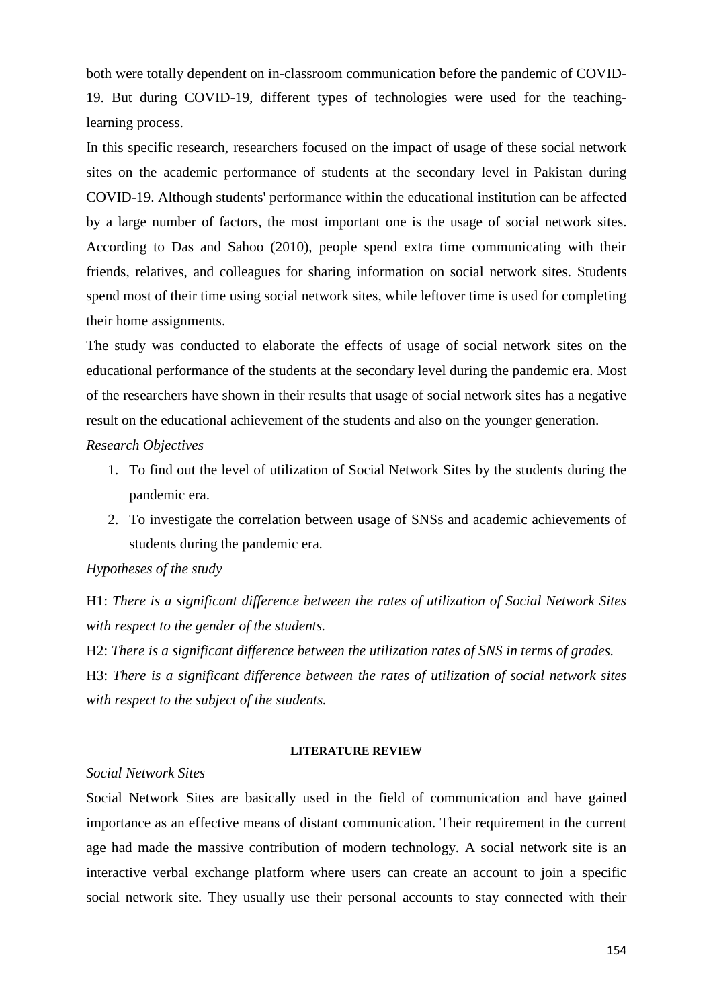both were totally dependent on in-classroom communication before the pandemic of COVID-19. But during COVID-19, different types of technologies were used for the teachinglearning process.

In this specific research, researchers focused on the impact of usage of these social network sites on the academic performance of students at the secondary level in Pakistan during COVID-19. Although students' performance within the educational institution can be affected by a large number of factors, the most important one is the usage of social network sites. According to Das and Sahoo (2010), people spend extra time communicating with their friends, relatives, and colleagues for sharing information on social network sites. Students spend most of their time using social network sites, while leftover time is used for completing their home assignments.

The study was conducted to elaborate the effects of usage of social network sites on the educational performance of the students at the secondary level during the pandemic era. Most of the researchers have shown in their results that usage of social network sites has a negative result on the educational achievement of the students and also on the younger generation.

## *Research Objectives*

- 1. To find out the level of utilization of Social Network Sites by the students during the pandemic era.
- 2. To investigate the correlation between usage of SNSs and academic achievements of students during the pandemic era.

# *Hypotheses of the study*

H1: *There is a significant difference between the rates of utilization of Social Network Sites with respect to the gender of the students.*

H2: *There is a significant difference between the utilization rates of SNS in terms of grades.* H3: *There is a significant difference between the rates of utilization of social network sites with respect to the subject of the students.*

#### **LITERATURE REVIEW**

### *Social Network Sites*

Social Network Sites are basically used in the field of communication and have gained importance as an effective means of distant communication. Their requirement in the current age had made the massive contribution of modern technology. A social network site is an interactive verbal exchange platform where users can create an account to join a specific social network site. They usually use their personal accounts to stay connected with their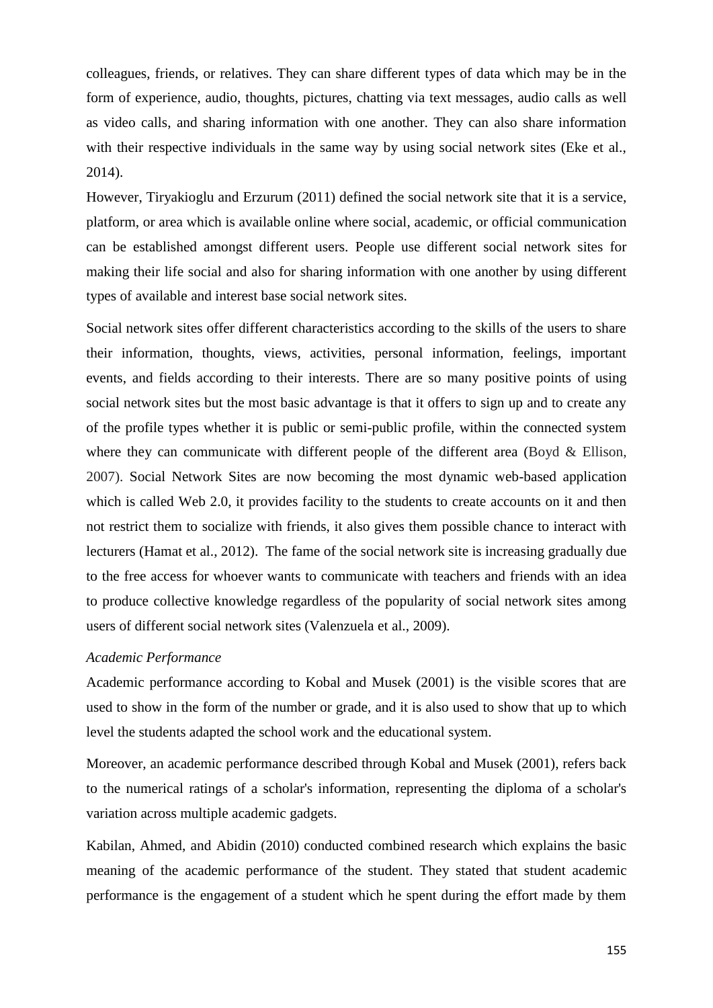colleagues, friends, or relatives. They can share different types of data which may be in the form of experience, audio, thoughts, pictures, chatting via text messages, audio calls as well as video calls, and sharing information with one another. They can also share information with their respective individuals in the same way by using social network sites (Eke et al., 2014).

However, Tiryakioglu and Erzurum (2011) defined the social network site that it is a service, platform, or area which is available online where social, academic, or official communication can be established amongst different users. People use different social network sites for making their life social and also for sharing information with one another by using different types of available and interest base social network sites.

Social network sites offer different characteristics according to the skills of the users to share their information, thoughts, views, activities, personal information, feelings, important events, and fields according to their interests. There are so many positive points of using social network sites but the most basic advantage is that it offers to sign up and to create any of the profile types whether it is public or semi-public profile, within the connected system where they can communicate with different people of the different area (Boyd & Ellison, 2007). Social Network Sites are now becoming the most dynamic web-based application which is called Web 2.0, it provides facility to the students to create accounts on it and then not restrict them to socialize with friends, it also gives them possible chance to interact with lecturers (Hamat et al., 2012). The fame of the social network site is increasing gradually due to the free access for whoever wants to communicate with teachers and friends with an idea to produce collective knowledge regardless of the popularity of social network sites among users of different social network sites (Valenzuela et al., 2009).

## *Academic Performance*

Academic performance according to Kobal and Musek (2001) is the visible scores that are used to show in the form of the number or grade, and it is also used to show that up to which level the students adapted the school work and the educational system.

Moreover, an academic performance described through Kobal and Musek (2001), refers back to the numerical ratings of a scholar's information, representing the diploma of a scholar's variation across multiple academic gadgets.

Kabilan, Ahmed, and Abidin (2010) conducted combined research which explains the basic meaning of the academic performance of the student. They stated that student academic performance is the engagement of a student which he spent during the effort made by them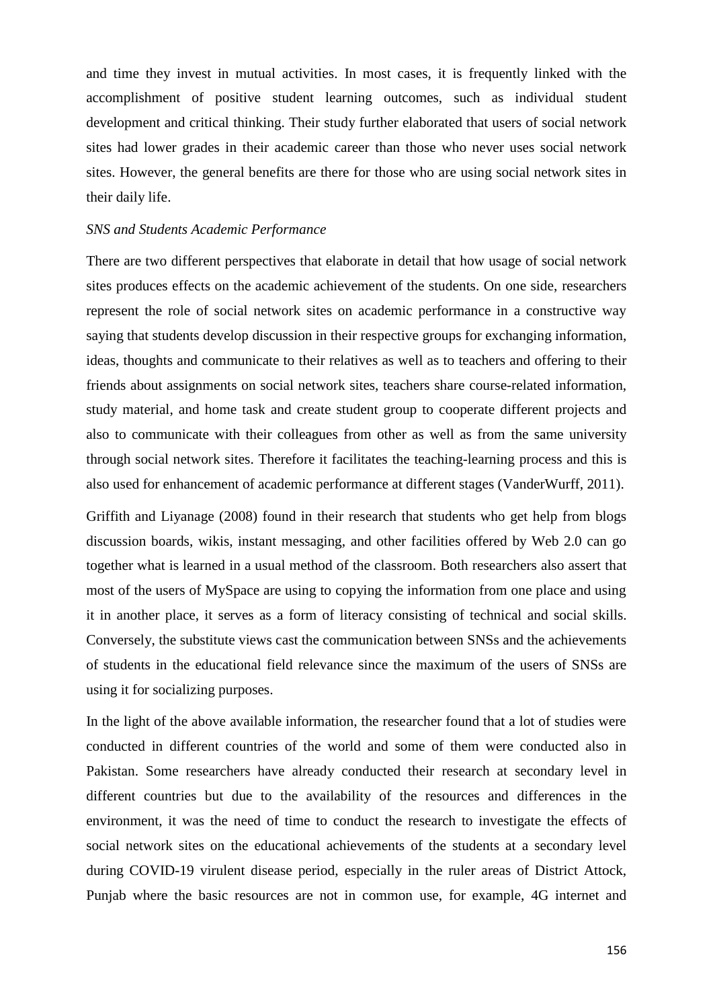and time they invest in mutual activities. In most cases, it is frequently linked with the accomplishment of positive student learning outcomes, such as individual student development and critical thinking. Their study further elaborated that users of social network sites had lower grades in their academic career than those who never uses social network sites. However, the general benefits are there for those who are using social network sites in their daily life.

## *SNS and Students Academic Performance*

There are two different perspectives that elaborate in detail that how usage of social network sites produces effects on the academic achievement of the students. On one side, researchers represent the role of social network sites on academic performance in a constructive way saying that students develop discussion in their respective groups for exchanging information, ideas, thoughts and communicate to their relatives as well as to teachers and offering to their friends about assignments on social network sites, teachers share course-related information, study material, and home task and create student group to cooperate different projects and also to communicate with their colleagues from other as well as from the same university through social network sites. Therefore it facilitates the teaching-learning process and this is also used for enhancement of academic performance at different stages (VanderWurff, 2011).

Griffith and Liyanage (2008) found in their research that students who get help from blogs discussion boards, wikis, instant messaging, and other facilities offered by Web 2.0 can go together what is learned in a usual method of the classroom. Both researchers also assert that most of the users of MySpace are using to copying the information from one place and using it in another place, it serves as a form of literacy consisting of technical and social skills. Conversely, the substitute views cast the communication between SNSs and the achievements of students in the educational field relevance since the maximum of the users of SNSs are using it for socializing purposes.

In the light of the above available information, the researcher found that a lot of studies were conducted in different countries of the world and some of them were conducted also in Pakistan. Some researchers have already conducted their research at secondary level in different countries but due to the availability of the resources and differences in the environment, it was the need of time to conduct the research to investigate the effects of social network sites on the educational achievements of the students at a secondary level during COVID-19 virulent disease period, especially in the ruler areas of District Attock, Punjab where the basic resources are not in common use, for example, 4G internet and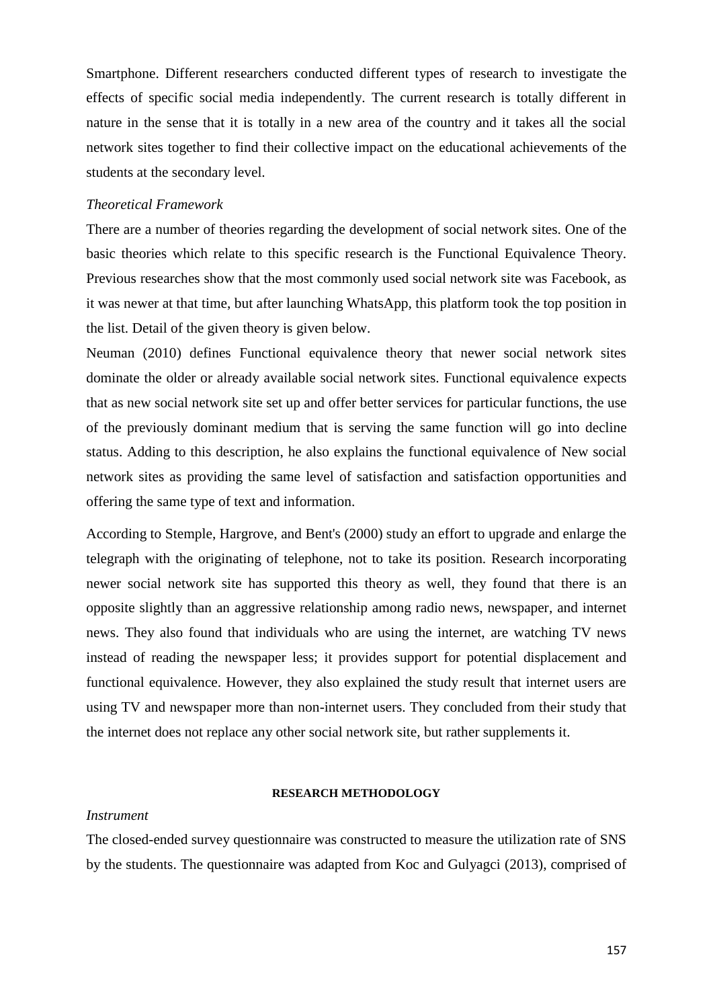Smartphone. Different researchers conducted different types of research to investigate the effects of specific social media independently. The current research is totally different in nature in the sense that it is totally in a new area of the country and it takes all the social network sites together to find their collective impact on the educational achievements of the students at the secondary level.

## *Theoretical Framework*

There are a number of theories regarding the development of social network sites. One of the basic theories which relate to this specific research is the Functional Equivalence Theory. Previous researches show that the most commonly used social network site was Facebook, as it was newer at that time, but after launching WhatsApp, this platform took the top position in the list. Detail of the given theory is given below.

Neuman (2010) defines Functional equivalence theory that newer social network sites dominate the older or already available social network sites. Functional equivalence expects that as new social network site set up and offer better services for particular functions, the use of the previously dominant medium that is serving the same function will go into decline status. Adding to this description, he also explains the functional equivalence of New social network sites as providing the same level of satisfaction and satisfaction opportunities and offering the same type of text and information.

According to Stemple, Hargrove, and Bent's (2000) study an effort to upgrade and enlarge the telegraph with the originating of telephone, not to take its position. Research incorporating newer social network site has supported this theory as well, they found that there is an opposite slightly than an aggressive relationship among radio news, newspaper, and internet news. They also found that individuals who are using the internet, are watching TV news instead of reading the newspaper less; it provides support for potential displacement and functional equivalence. However, they also explained the study result that internet users are using TV and newspaper more than non-internet users. They concluded from their study that the internet does not replace any other social network site, but rather supplements it.

### **RESEARCH METHODOLOGY**

#### *Instrument*

The closed-ended survey questionnaire was constructed to measure the utilization rate of SNS by the students. The questionnaire was adapted from Koc and Gulyagci (2013), comprised of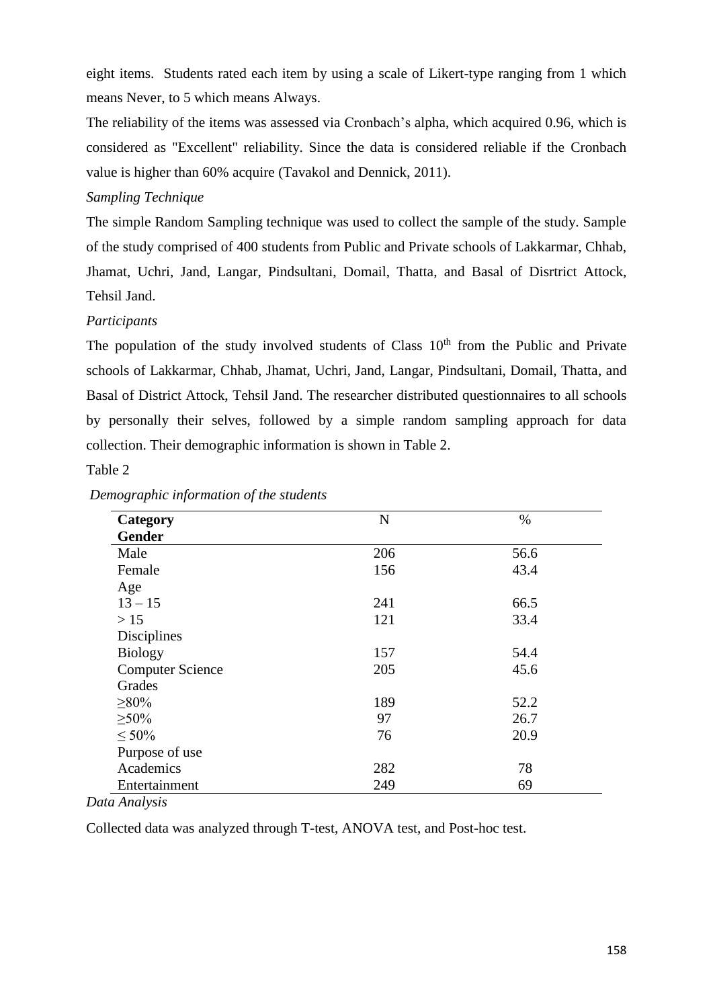eight items. Students rated each item by using a scale of Likert-type ranging from 1 which means Never, to 5 which means Always.

The reliability of the items was assessed via Cronbach's alpha, which acquired 0.96, which is considered as "Excellent" reliability. Since the data is considered reliable if the Cronbach value is higher than 60% acquire (Tavakol and Dennick, 2011).

# *Sampling Technique*

The simple Random Sampling technique was used to collect the sample of the study. Sample of the study comprised of 400 students from Public and Private schools of Lakkarmar, Chhab, Jhamat, Uchri, Jand, Langar, Pindsultani, Domail, Thatta, and Basal of Disrtrict Attock, Tehsil Jand.

# *Participants*

The population of the study involved students of Class  $10<sup>th</sup>$  from the Public and Private schools of Lakkarmar, Chhab, Jhamat, Uchri, Jand, Langar, Pindsultani, Domail, Thatta, and Basal of District Attock, Tehsil Jand. The researcher distributed questionnaires to all schools by personally their selves, followed by a simple random sampling approach for data collection. Their demographic information is shown in Table 2.

# Table 2

| Category                | $\mathbf N$ | $\%$ |
|-------------------------|-------------|------|
| Gender                  |             |      |
| Male                    | 206         | 56.6 |
| Female                  | 156         | 43.4 |
| Age                     |             |      |
| $13 - 15$               | 241         | 66.5 |
| >15                     | 121         | 33.4 |
| Disciplines             |             |      |
| <b>Biology</b>          | 157         | 54.4 |
| <b>Computer Science</b> | 205         | 45.6 |
| Grades                  |             |      |
| $\geq 80\%$             | 189         | 52.2 |
| $\geq 50\%$             | 97          | 26.7 |
| $\leq 50\%$             | 76          | 20.9 |
| Purpose of use          |             |      |
| Academics               | 282         | 78   |
| Entertainment           | 249         | 69   |

# *Demographic information of the students*

*Data Analysis*

Collected data was analyzed through T-test, ANOVA test, and Post-hoc test.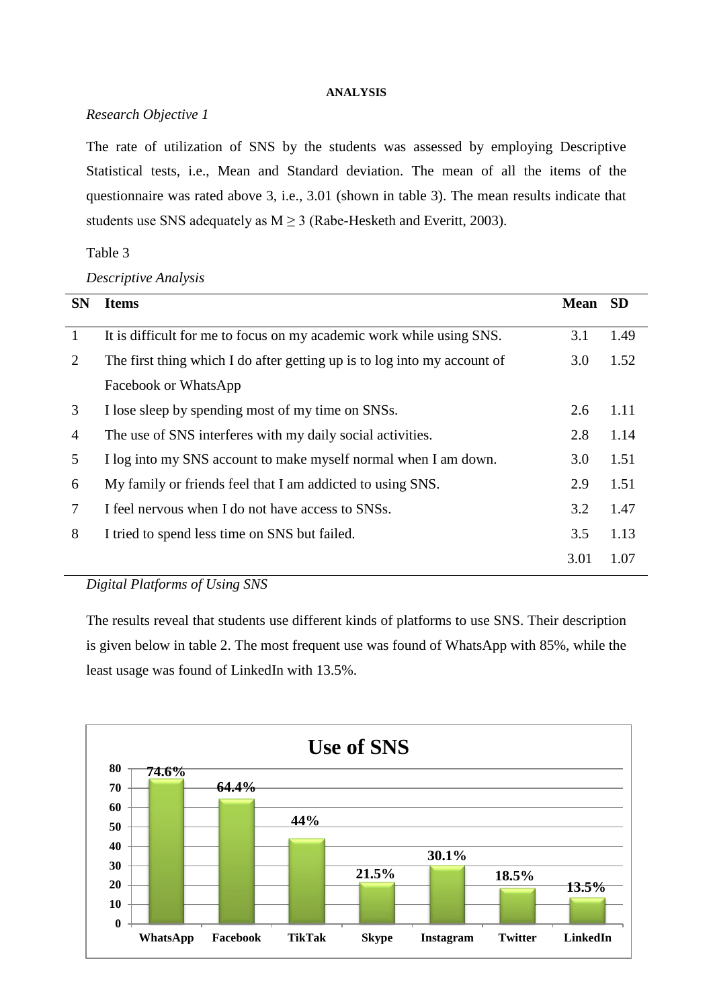#### **ANALYSIS**

# *Research Objective 1*

The rate of utilization of SNS by the students was assessed by employing Descriptive Statistical tests, i.e., Mean and Standard deviation. The mean of all the items of the questionnaire was rated above 3, i.e., 3.01 (shown in table 3). The mean results indicate that students use SNS adequately as  $M \ge 3$  (Rabe-Hesketh and Everitt, 2003).

Table 3

*Descriptive Analysis*

| <b>SN</b>      | <b>Items</b>                                                             | Mean SD |      |
|----------------|--------------------------------------------------------------------------|---------|------|
| $\mathbf{1}$   | It is difficult for me to focus on my academic work while using SNS.     | 3.1     | 1.49 |
| 2              | The first thing which I do after getting up is to log into my account of | 3.0     | 1.52 |
|                | Facebook or WhatsApp                                                     |         |      |
| 3              | I lose sleep by spending most of my time on SNSs.                        | 2.6     | 1.11 |
| $\overline{4}$ | The use of SNS interferes with my daily social activities.               | 2.8     | 1.14 |
| 5              | I log into my SNS account to make myself normal when I am down.          | 3.0     | 1.51 |
| 6              | My family or friends feel that I am addicted to using SNS.               | 2.9     | 1.51 |
| $\tau$         | I feel nervous when I do not have access to SNSs.                        | 3.2     | 1.47 |
| 8              | I tried to spend less time on SNS but failed.                            | 3.5     | 1.13 |
|                |                                                                          | 3.01    | 1.07 |

# *Digital Platforms of Using SNS*

The results reveal that students use different kinds of platforms to use SNS. Their description is given below in table 2. The most frequent use was found of WhatsApp with 85%, while the least usage was found of LinkedIn with 13.5%.

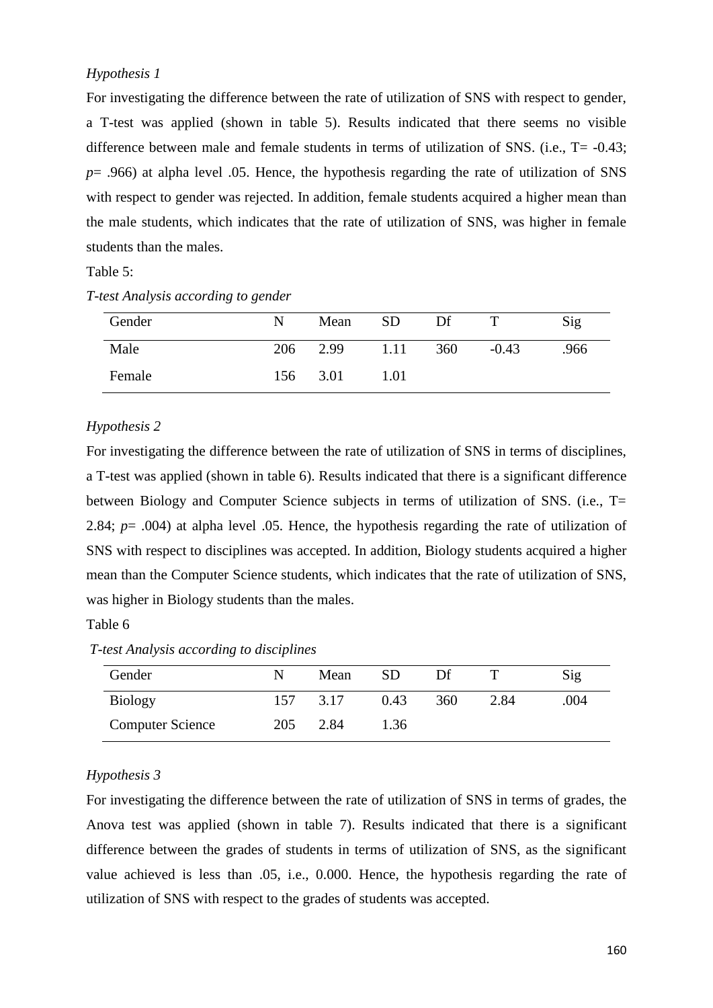# *Hypothesis 1*

For investigating the difference between the rate of utilization of SNS with respect to gender, a T-test was applied (shown in table 5). Results indicated that there seems no visible difference between male and female students in terms of utilization of SNS. (i.e., T= -0.43;  $p=$  .966) at alpha level .05. Hence, the hypothesis regarding the rate of utilization of SNS with respect to gender was rejected. In addition, female students acquired a higher mean than the male students, which indicates that the rate of utilization of SNS, was higher in female students than the males.

## Table 5:

| Gender | N   | Mean     | SD.  | Df  |         | Sig  |
|--------|-----|----------|------|-----|---------|------|
| Male   | 206 | 2.99     | 1.11 | 360 | $-0.43$ | .966 |
| Female |     | 156 3.01 | 1.01 |     |         |      |

# *T-test Analysis according to gender*

## *Hypothesis 2*

For investigating the difference between the rate of utilization of SNS in terms of disciplines, a T-test was applied (shown in table 6). Results indicated that there is a significant difference between Biology and Computer Science subjects in terms of utilization of SNS. (i.e., T= 2.84; *p*= .004) at alpha level .05. Hence, the hypothesis regarding the rate of utilization of SNS with respect to disciplines was accepted. In addition, Biology students acquired a higher mean than the Computer Science students, which indicates that the rate of utilization of SNS, was higher in Biology students than the males.

Table 6

*T-test Analysis according to disciplines* 

| Gender                  | N   | Mean | SD   | Df  |      | Sig  |
|-------------------------|-----|------|------|-----|------|------|
| <b>Biology</b>          | 157 | 3.17 | 0.43 | 360 | 2.84 | .004 |
| <b>Computer Science</b> | 205 | 2.84 | 1.36 |     |      |      |

#### *Hypothesis 3*

For investigating the difference between the rate of utilization of SNS in terms of grades, the Anova test was applied (shown in table 7). Results indicated that there is a significant difference between the grades of students in terms of utilization of SNS, as the significant value achieved is less than .05, i.e., 0.000. Hence, the hypothesis regarding the rate of utilization of SNS with respect to the grades of students was accepted.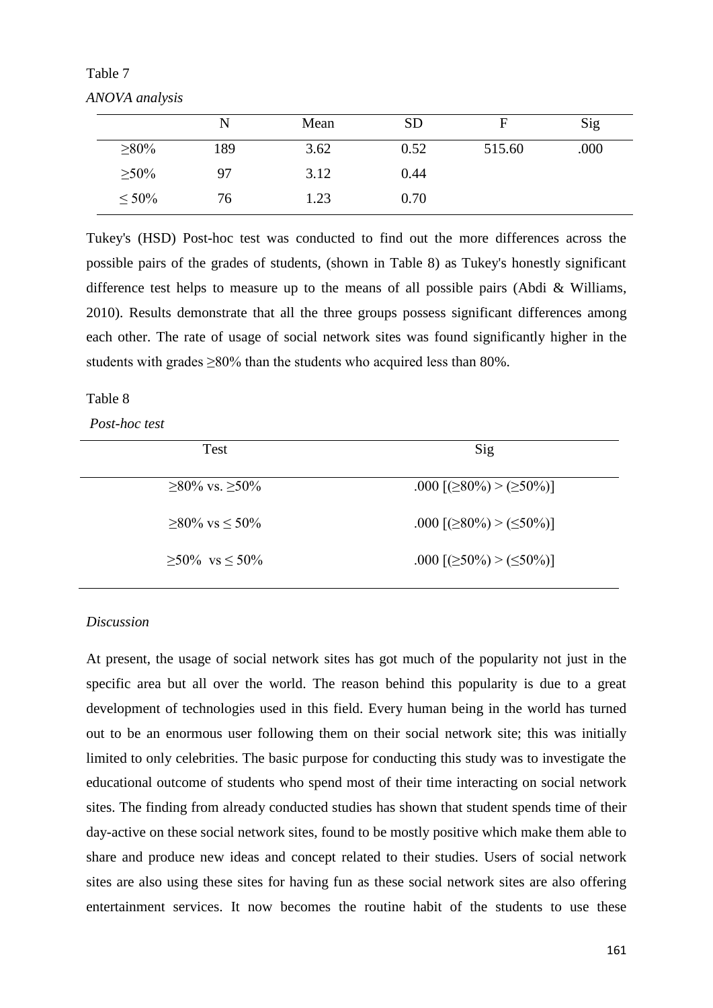|             | N   | Mean | <b>SD</b> | E      | Sig  |
|-------------|-----|------|-----------|--------|------|
| $\geq 80\%$ | 189 | 3.62 | 0.52      | 515.60 | .000 |
| $\geq 50\%$ | 97  | 3.12 | 0.44      |        |      |
| $\leq 50\%$ | 76  | 1.23 | 0.70      |        |      |

Table 7 *ANOVA analysis*

Tukey's (HSD) Post-hoc test was conducted to find out the more differences across the possible pairs of the grades of students, (shown in Table 8) as Tukey's honestly significant difference test helps to measure up to the means of all possible pairs (Abdi  $\&$  Williams, 2010). Results demonstrate that all the three groups possess significant differences among each other. The rate of usage of social network sites was found significantly higher in the students with grades  $\geq 80\%$  than the students who acquired less than 80%.

### Table 8

*Post-hoc test*

| <b>Test</b>         | Sig                                    |
|---------------------|----------------------------------------|
| $>80\%$ vs. $>50\%$ | .000 [ $(\geq 80\%)$ > $(\geq 50\%)$ ] |
| $>80\%$ vs $< 50\%$ | .000 [ $(\geq 80\%)$ > $(\leq 50\%)$ ] |
| $>50\%$ vs $< 50\%$ | .000 [ $(\geq 50\%)$ > $(\leq 50\%)$ ] |
|                     |                                        |

## *Discussion*

At present, the usage of social network sites has got much of the popularity not just in the specific area but all over the world. The reason behind this popularity is due to a great development of technologies used in this field. Every human being in the world has turned out to be an enormous user following them on their social network site; this was initially limited to only celebrities. The basic purpose for conducting this study was to investigate the educational outcome of students who spend most of their time interacting on social network sites. The finding from already conducted studies has shown that student spends time of their day-active on these social network sites, found to be mostly positive which make them able to share and produce new ideas and concept related to their studies. Users of social network sites are also using these sites for having fun as these social network sites are also offering entertainment services. It now becomes the routine habit of the students to use these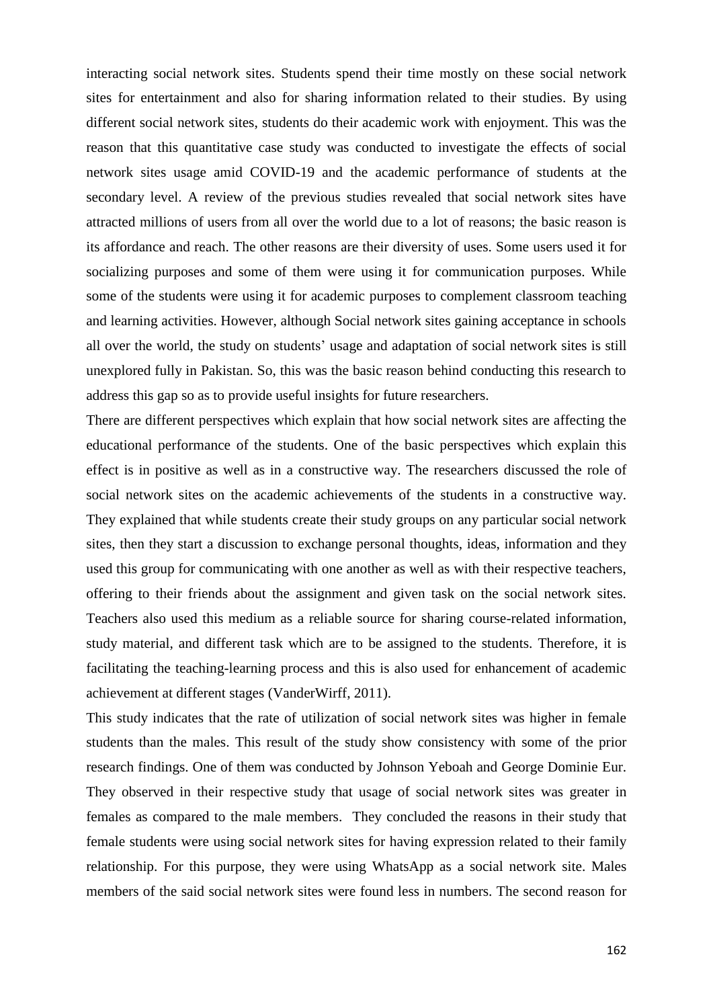interacting social network sites. Students spend their time mostly on these social network sites for entertainment and also for sharing information related to their studies. By using different social network sites, students do their academic work with enjoyment. This was the reason that this quantitative case study was conducted to investigate the effects of social network sites usage amid COVID-19 and the academic performance of students at the secondary level. A review of the previous studies revealed that social network sites have attracted millions of users from all over the world due to a lot of reasons; the basic reason is its affordance and reach. The other reasons are their diversity of uses. Some users used it for socializing purposes and some of them were using it for communication purposes. While some of the students were using it for academic purposes to complement classroom teaching and learning activities. However, although Social network sites gaining acceptance in schools all over the world, the study on students' usage and adaptation of social network sites is still unexplored fully in Pakistan. So, this was the basic reason behind conducting this research to address this gap so as to provide useful insights for future researchers.

There are different perspectives which explain that how social network sites are affecting the educational performance of the students. One of the basic perspectives which explain this effect is in positive as well as in a constructive way. The researchers discussed the role of social network sites on the academic achievements of the students in a constructive way. They explained that while students create their study groups on any particular social network sites, then they start a discussion to exchange personal thoughts, ideas, information and they used this group for communicating with one another as well as with their respective teachers, offering to their friends about the assignment and given task on the social network sites. Teachers also used this medium as a reliable source for sharing course-related information, study material, and different task which are to be assigned to the students. Therefore, it is facilitating the teaching-learning process and this is also used for enhancement of academic achievement at different stages (VanderWirff, 2011).

This study indicates that the rate of utilization of social network sites was higher in female students than the males. This result of the study show consistency with some of the prior research findings. One of them was conducted by Johnson Yeboah and George Dominie Eur. They observed in their respective study that usage of social network sites was greater in females as compared to the male members. They concluded the reasons in their study that female students were using social network sites for having expression related to their family relationship. For this purpose, they were using WhatsApp as a social network site. Males members of the said social network sites were found less in numbers. The second reason for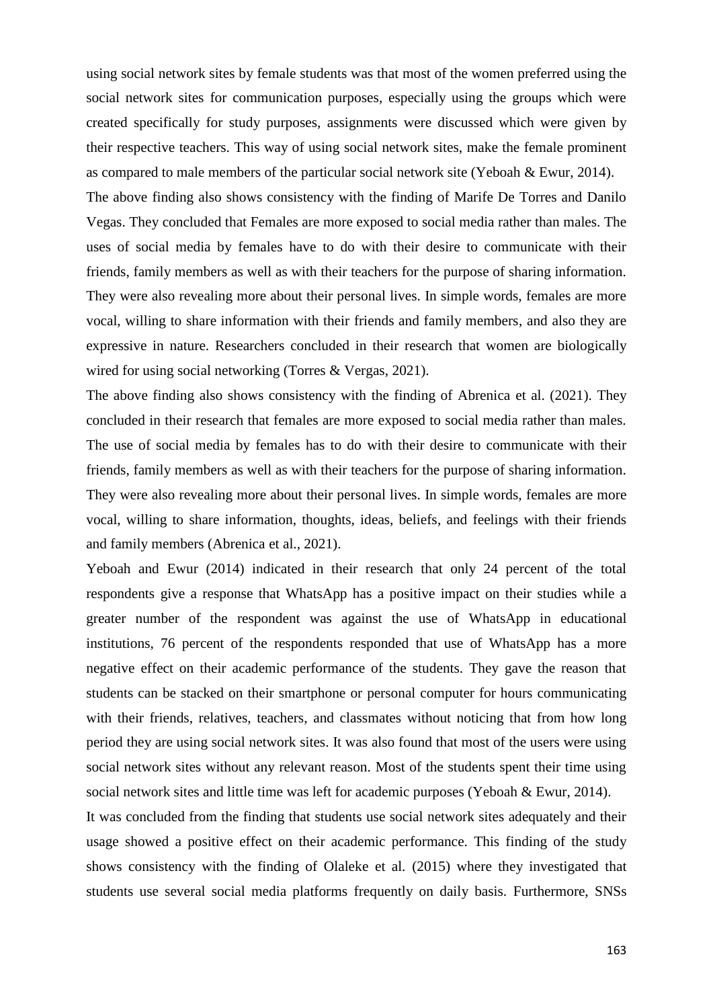using social network sites by female students was that most of the women preferred using the social network sites for communication purposes, especially using the groups which were created specifically for study purposes, assignments were discussed which were given by their respective teachers. This way of using social network sites, make the female prominent as compared to male members of the particular social network site (Yeboah & Ewur, 2014).

The above finding also shows consistency with the finding of Marife De Torres and Danilo Vegas. They concluded that Females are more exposed to social media rather than males. The uses of social media by females have to do with their desire to communicate with their friends, family members as well as with their teachers for the purpose of sharing information. They were also revealing more about their personal lives. In simple words, females are more vocal, willing to share information with their friends and family members, and also they are expressive in nature. Researchers concluded in their research that women are biologically wired for using social networking (Torres & Vergas, 2021).

The above finding also shows consistency with the finding of Abrenica et al. (2021). They concluded in their research that females are more exposed to social media rather than males. The use of social media by females has to do with their desire to communicate with their friends, family members as well as with their teachers for the purpose of sharing information. They were also revealing more about their personal lives. In simple words, females are more vocal, willing to share information, thoughts, ideas, beliefs, and feelings with their friends and family members (Abrenica et al., 2021).

Yeboah and Ewur (2014) indicated in their research that only 24 percent of the total respondents give a response that WhatsApp has a positive impact on their studies while a greater number of the respondent was against the use of WhatsApp in educational institutions, 76 percent of the respondents responded that use of WhatsApp has a more negative effect on their academic performance of the students. They gave the reason that students can be stacked on their smartphone or personal computer for hours communicating with their friends, relatives, teachers, and classmates without noticing that from how long period they are using social network sites. It was also found that most of the users were using social network sites without any relevant reason. Most of the students spent their time using social network sites and little time was left for academic purposes (Yeboah & Ewur, 2014).

It was concluded from the finding that students use social network sites adequately and their usage showed a positive effect on their academic performance. This finding of the study shows consistency with the finding of Olaleke et al. (2015) where they investigated that students use several social media platforms frequently on daily basis. Furthermore, SNSs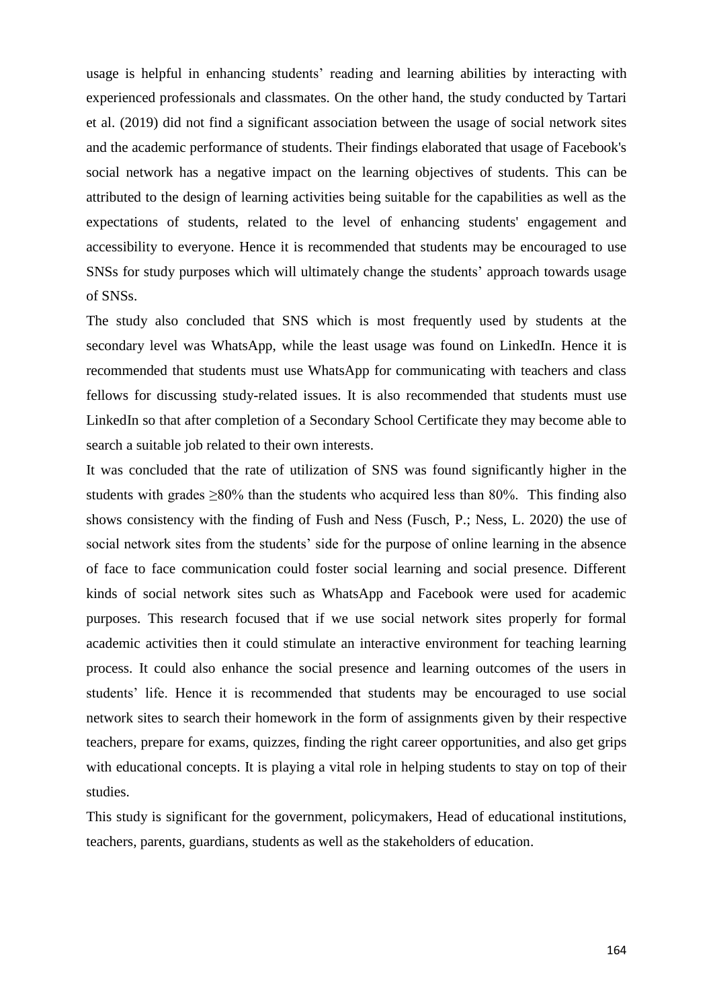usage is helpful in enhancing students' reading and learning abilities by interacting with experienced professionals and classmates. On the other hand, the study conducted by Tartari et al. (2019) did not find a significant association between the usage of social network sites and the academic performance of students. Their findings elaborated that usage of Facebook's social network has a negative impact on the learning objectives of students. This can be attributed to the design of learning activities being suitable for the capabilities as well as the expectations of students, related to the level of enhancing students' engagement and accessibility to everyone. Hence it is recommended that students may be encouraged to use SNSs for study purposes which will ultimately change the students' approach towards usage of SNSs.

The study also concluded that SNS which is most frequently used by students at the secondary level was WhatsApp, while the least usage was found on LinkedIn. Hence it is recommended that students must use WhatsApp for communicating with teachers and class fellows for discussing study-related issues. It is also recommended that students must use LinkedIn so that after completion of a Secondary School Certificate they may become able to search a suitable job related to their own interests.

It was concluded that the rate of utilization of SNS was found significantly higher in the students with grades >80% than the students who acquired less than 80%. This finding also shows consistency with the finding of Fush and Ness (Fusch, P.; Ness, L. 2020) the use of social network sites from the students' side for the purpose of online learning in the absence of face to face communication could foster social learning and social presence. Different kinds of social network sites such as WhatsApp and Facebook were used for academic purposes. This research focused that if we use social network sites properly for formal academic activities then it could stimulate an interactive environment for teaching learning process. It could also enhance the social presence and learning outcomes of the users in students' life. Hence it is recommended that students may be encouraged to use social network sites to search their homework in the form of assignments given by their respective teachers, prepare for exams, quizzes, finding the right career opportunities, and also get grips with educational concepts. It is playing a vital role in helping students to stay on top of their studies.

This study is significant for the government, policymakers, Head of educational institutions, teachers, parents, guardians, students as well as the stakeholders of education.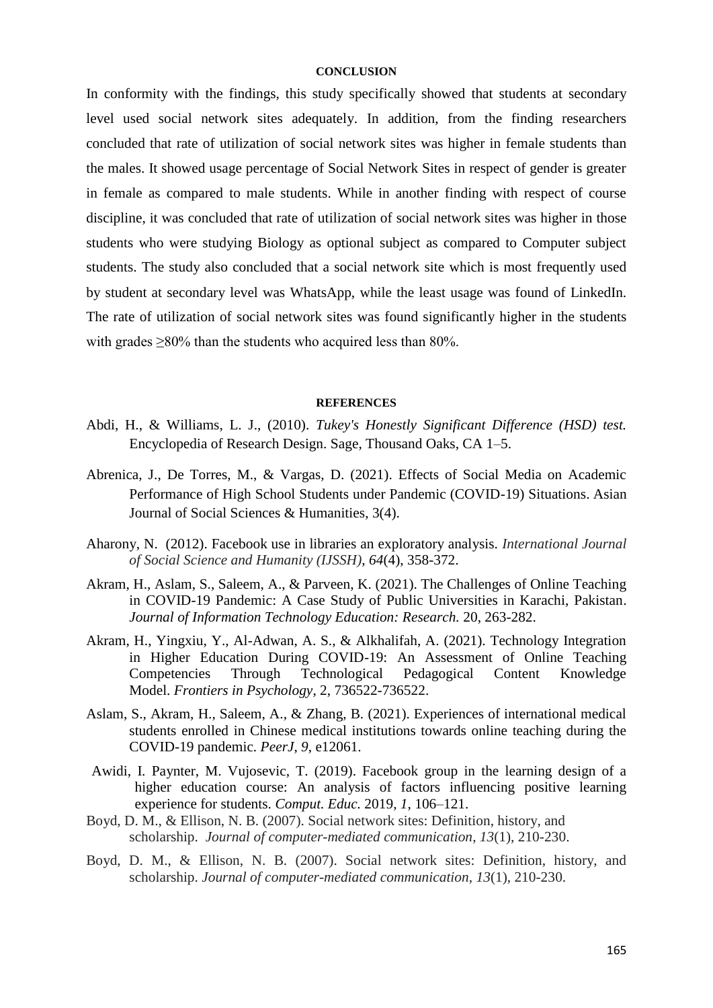#### **CONCLUSION**

In conformity with the findings, this study specifically showed that students at secondary level used social network sites adequately. In addition, from the finding researchers concluded that rate of utilization of social network sites was higher in female students than the males. It showed usage percentage of Social Network Sites in respect of gender is greater in female as compared to male students. While in another finding with respect of course discipline, it was concluded that rate of utilization of social network sites was higher in those students who were studying Biology as optional subject as compared to Computer subject students. The study also concluded that a social network site which is most frequently used by student at secondary level was WhatsApp, while the least usage was found of LinkedIn. The rate of utilization of social network sites was found significantly higher in the students with grades  $\geq 80\%$  than the students who acquired less than 80%.

#### **REFERENCES**

- Abdi, H., & Williams, L. J., (2010). *Tukey's Honestly Significant Difference (HSD) test.* Encyclopedia of Research Design. Sage, Thousand Oaks, CA 1–5.
- Abrenica, J., De Torres, M., & Vargas, D. (2021). Effects of Social Media on Academic Performance of High School Students under Pandemic (COVID-19) Situations. Asian Journal of Social Sciences & Humanities, 3(4).
- Aharony, N. (2012). Facebook use in libraries an exploratory analysis. *International Journal of Social Science and Humanity (IJSSH)*, *64*(4), 358-372.
- Akram, H., Aslam, S., Saleem, A., & Parveen, K. (2021). The Challenges of Online Teaching in COVID-19 Pandemic: A Case Study of Public Universities in Karachi, Pakistan. *Journal of Information Technology Education: Research.* 20, 263-282.
- Akram, H., Yingxiu, Y., Al-Adwan, A. S., & Alkhalifah, A. (2021). Technology Integration in Higher Education During COVID-19: An Assessment of Online Teaching Competencies Through Technological Pedagogical Content Knowledge Model. *Frontiers in Psychology*, 2, 736522-736522.
- Aslam, S., Akram, H., Saleem, A., & Zhang, B. (2021). Experiences of international medical students enrolled in Chinese medical institutions towards online teaching during the COVID-19 pandemic. *PeerJ*, *9*, e12061.
- Awidi, I. Paynter, M. Vujosevic, T. (2019). Facebook group in the learning design of a higher education course: An analysis of factors influencing positive learning experience for students. *Comput. Educ.* 2019, *1*, 106–121.
- Boyd, D. M., & Ellison, N. B. (2007). Social network sites: Definition, history, and scholarship. *Journal of computer-mediated communication*, *13*(1), 210-230.
- Boyd, D. M., & Ellison, N. B. (2007). Social network sites: Definition, history, and scholarship. *Journal of computer-mediated communication*, *13*(1), 210-230.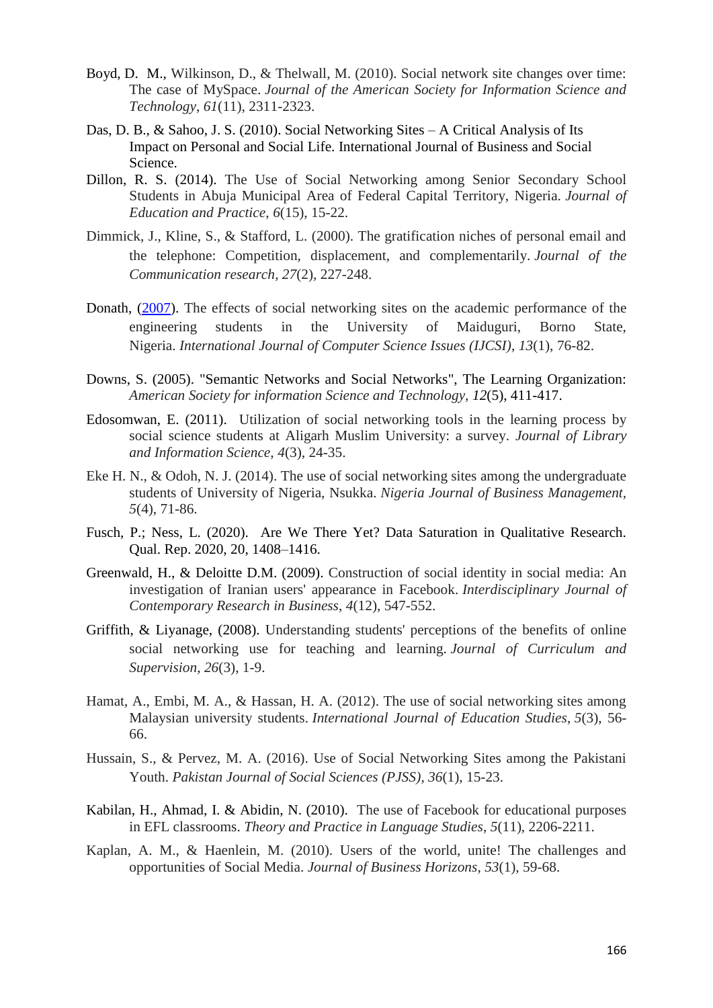- Boyd, D. M., Wilkinson, D., & Thelwall, M. (2010). Social network site changes over time: The case of MySpace. *Journal of the American Society for Information Science and Technology*, *61*(11), 2311-2323.
- Das, D. B., & Sahoo, J. S. (2010). Social Networking Sites A Critical Analysis of Its Impact on Personal and Social Life. International Journal of Business and Social Science.
- Dillon, R. S. (2014). The Use of Social Networking among Senior Secondary School Students in Abuja Municipal Area of Federal Capital Territory, Nigeria. *Journal of Education and Practice*, *6*(15), 15-22.
- Dimmick, J., Kline, S., & Stafford, L. (2000). The gratification niches of personal email and the telephone: Competition, displacement, and complementarily. *Journal of the Communication research*, *27*(2), 227-248.
- Donath, [\(2007\)](https://onlinelibrary.wiley.com/doi/full/10.1002/asi.21540#bib17). The effects of social networking sites on the academic performance of the engineering students in the University of Maiduguri, Borno State, Nigeria. *International Journal of Computer Science Issues (IJCSI)*, *13*(1), 76-82.
- Downs, S. (2005). "Semantic Networks and Social Networks", The Learning Organization: *American Society for information Science and Technology, 12*(5), 411-417.
- Edosomwan, E. (2011). Utilization of social networking tools in the learning process by social science students at Aligarh Muslim University: a survey. *Journal of Library and Information Science*, *4*(3), 24-35.
- Eke H. N., & Odoh, N. J. (2014). The use of social networking sites among the undergraduate students of University of Nigeria, Nsukka. *Nigeria Journal of Business Management, 5*(4), 71-86.
- Fusch, P.; Ness, L. (2020). Are We There Yet? Data Saturation in Qualitative Research. Qual. Rep. 2020, 20, 1408–1416.
- Greenwald, H., & Deloitte D.M. (2009). Construction of social identity in social media: An investigation of Iranian users' appearance in Facebook. *Interdisciplinary Journal of Contemporary Research in Business*, *4*(12), 547-552.
- Griffith, & Liyanage, (2008). Understanding students' perceptions of the benefits of online social networking use for teaching and learning. *Journal of Curriculum and Supervision*, *26*(3), 1-9.
- Hamat, A., Embi, M. A., & Hassan, H. A. (2012). The use of social networking sites among Malaysian university students. *International Journal of Education Studies*, *5*(3), 56- 66.
- Hussain, S., & Pervez, M. A. (2016). Use of Social Networking Sites among the Pakistani Youth. *Pakistan Journal of Social Sciences (PJSS)*, *36*(1), 15-23.
- Kabilan, H., Ahmad, I. & Abidin, N. (2010). The use of Facebook for educational purposes in EFL classrooms. *Theory and Practice in Language Studies*, *5*(11), 2206-2211.
- Kaplan, A. M., & Haenlein, M. (2010). Users of the world, unite! The challenges and opportunities of Social Media. *Journal of Business Horizons*, *53*(1), 59-68.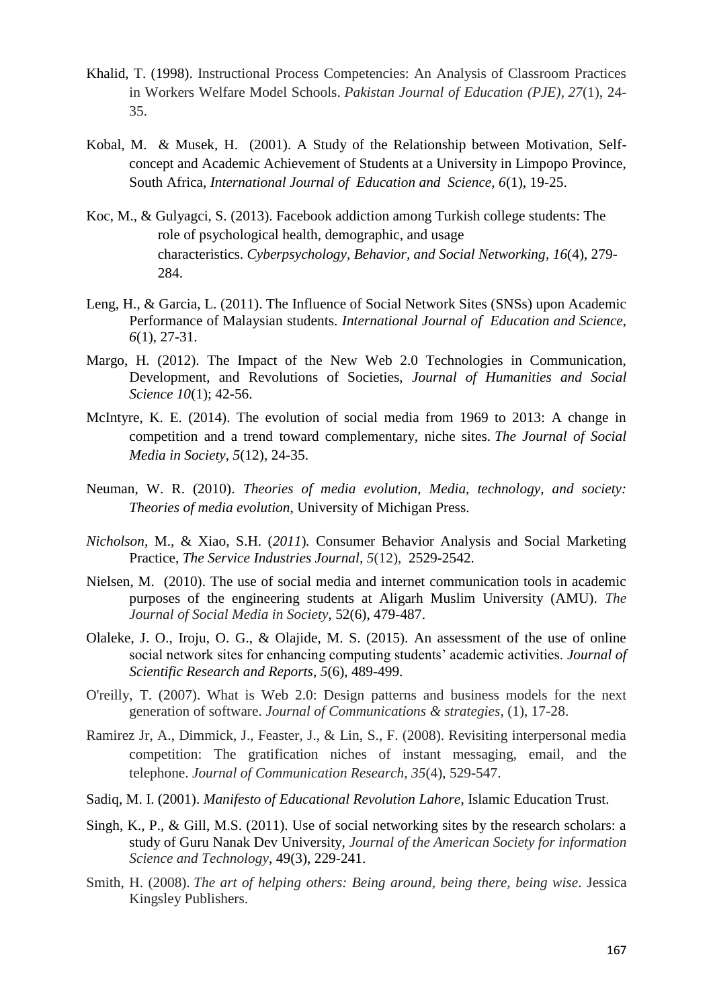- Khalid, T. (1998). Instructional Process Competencies: An Analysis of Classroom Practices in Workers Welfare Model Schools. *Pakistan Journal of Education (PJE)*, *27*(1), 24- 35.
- Kobal, M. & Musek, H. (2001). A Study of the Relationship between Motivation, Selfconcept and Academic Achievement of Students at a University in Limpopo Province, South Africa, *International Journal of Education and Science, 6*(1), 19-25.
- Koc, M., & Gulyagci, S. (2013). Facebook addiction among Turkish college students: The role of psychological health, demographic, and usage characteristics. *Cyberpsychology, Behavior, and Social Networking*, *16*(4), 279- 284.
- Leng, H., & Garcia, L. (2011). The Influence of Social Network Sites (SNSs) upon Academic Performance of Malaysian students. *International Journal of Education and Science, 6*(1), 27-31.
- Margo, H. (2012). The Impact of the New Web 2.0 Technologies in Communication, Development, and Revolutions of Societies, *Journal of Humanities and Social Science 10*(1); 42-56.
- McIntyre, K. E. (2014). The evolution of social media from 1969 to 2013: A change in competition and a trend toward complementary, niche sites. *The Journal of Social Media in Society*, *5*(12), 24-35.
- Neuman, W. R. (2010). *Theories of media evolution, Media, technology, and society: Theories of media evolution*, University of Michigan Press.
- *Nicholson,* M., & Xiao, S.H. (*2011*)*.* Consumer Behavior Analysis and Social Marketing Practice, *The Service Industries Journal, 5*(12), 2529-2542.
- Nielsen, M. (2010). The use of social media and internet communication tools in academic purposes of the engineering students at Aligarh Muslim University (AMU). *The Journal of Social Media in Society*, 52(6), 479-487.
- Olaleke, J. O., Iroju, O. G., & Olajide, M. S. (2015). An assessment of the use of online social network sites for enhancing computing students' academic activities. *Journal of Scientific Research and Reports*, *5*(6), 489-499.
- O'reilly, T. (2007). What is Web 2.0: Design patterns and business models for the next generation of software. *Journal of Communications & strategies*, (1), 17-28.
- Ramirez Jr, A., Dimmick, J., Feaster, J., & Lin, S., F. (2008). Revisiting interpersonal media competition: The gratification niches of instant messaging, email, and the telephone. *Journal of Communication Research*, *35*(4), 529-547.
- Sadiq, M. I. (2001). *Manifesto of Educational Revolution Lahore*, Islamic Education Trust.
- Singh, K., P., & Gill, M.S. (2011). Use of social networking sites by the research scholars: a study of Guru Nanak Dev University, *Journal of the American Society for information Science and Technology*, 49(3), 229-241.
- Smith, H. (2008). *The art of helping others: Being around, being there, being wise*. Jessica Kingsley Publishers.